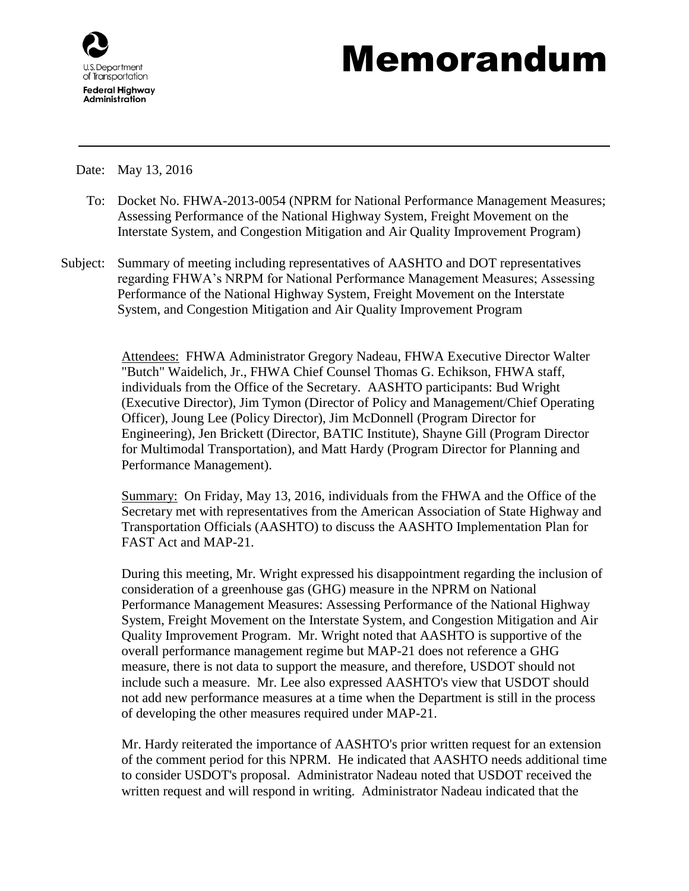

## Memorandum

Date: May 13, 2016

- To: Docket No. FHWA-2013-0054 (NPRM for National Performance Management Measures; Assessing Performance of the National Highway System, Freight Movement on the Interstate System, and Congestion Mitigation and Air Quality Improvement Program)
- Subject: Summary of meeting including representatives of AASHTO and DOT representatives regarding FHWA's NRPM for National Performance Management Measures; Assessing Performance of the National Highway System, Freight Movement on the Interstate System, and Congestion Mitigation and Air Quality Improvement Program

Attendees: FHWA Administrator Gregory Nadeau, FHWA Executive Director Walter "Butch" Waidelich, Jr., FHWA Chief Counsel Thomas G. Echikson, FHWA staff, individuals from the Office of the Secretary. AASHTO participants: Bud Wright (Executive Director), Jim Tymon (Director of Policy and Management/Chief Operating Officer), Joung Lee (Policy Director), Jim McDonnell (Program Director for Engineering), Jen Brickett (Director, BATIC Institute), Shayne Gill (Program Director for Multimodal Transportation), and Matt Hardy (Program Director for Planning and Performance Management).

Summary: On Friday, May 13, 2016, individuals from the FHWA and the Office of the Secretary met with representatives from the American Association of State Highway and Transportation Officials (AASHTO) to discuss the AASHTO Implementation Plan for FAST Act and MAP-21.

During this meeting, Mr. Wright expressed his disappointment regarding the inclusion of consideration of a greenhouse gas (GHG) measure in the NPRM on National Performance Management Measures: Assessing Performance of the National Highway System, Freight Movement on the Interstate System, and Congestion Mitigation and Air Quality Improvement Program. Mr. Wright noted that AASHTO is supportive of the overall performance management regime but MAP-21 does not reference a GHG measure, there is not data to support the measure, and therefore, USDOT should not include such a measure. Mr. Lee also expressed AASHTO's view that USDOT should not add new performance measures at a time when the Department is still in the process of developing the other measures required under MAP-21.

Mr. Hardy reiterated the importance of AASHTO's prior written request for an extension of the comment period for this NPRM. He indicated that AASHTO needs additional time to consider USDOT's proposal. Administrator Nadeau noted that USDOT received the written request and will respond in writing. Administrator Nadeau indicated that the